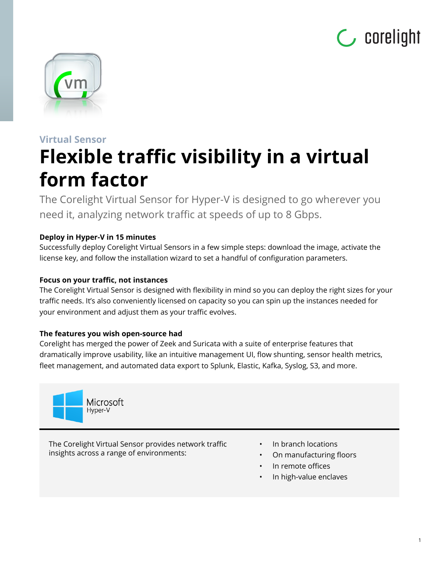



# **Virtual Sensor Flexible traffic visibility in a virtual form factor**

The Corelight Virtual Sensor for Hyper-V is designed to go wherever you need it, analyzing network traffic at speeds of up to 8 Gbps.

# **Deploy in Hyper-V in 15 minutes**

Successfully deploy Corelight Virtual Sensors in a few simple steps: download the image, activate the license key, and follow the installation wizard to set a handful of configuration parameters.

# **Focus on your traffic, not instances**

The Corelight Virtual Sensor is designed with flexibility in mind so you can deploy the right sizes for your traffic needs. It's also conveniently licensed on capacity so you can spin up the instances needed for your environment and adjust them as your traffic evolves.

# **The features you wish open-source had**

Corelight has merged the power of Zeek and Suricata with a suite of enterprise features that dramatically improve usability, like an intuitive management UI, flow shunting, sensor health metrics, fleet management, and automated data export to Splunk, Elastic, Kafka, Syslog, S3, and more.



The Corelight Virtual Sensor provides network traffic insights across a range of environments:

- In branch locations
- On manufacturing floors
- In remote offices
- In high-value enclaves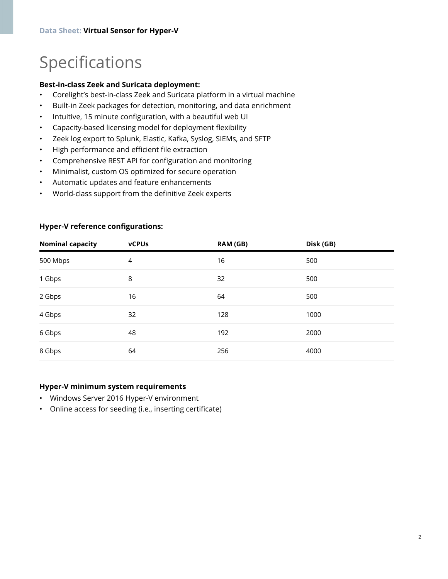# Specifications

### **Best-in-class Zeek and Suricata deployment:**

- Corelight's best-in-class Zeek and Suricata platform in a virtual machine
- Built-in Zeek packages for detection, monitoring, and data enrichment
- Intuitive, 15 minute configuration, with a beautiful web UI
- Capacity-based licensing model for deployment flexibility
- Zeek log export to Splunk, Elastic, Kafka, Syslog, SIEMs, and SFTP
- High performance and efficient file extraction
- Comprehensive REST API for configuration and monitoring
- Minimalist, custom OS optimized for secure operation
- Automatic updates and feature enhancements
- World-class support from the definitive Zeek experts

| <b>Nominal capacity</b> | <b>vCPUs</b> | RAM (GB) | Disk (GB) |  |
|-------------------------|--------------|----------|-----------|--|
| 500 Mbps                | 4            | 16       | 500       |  |
| 1 Gbps                  | 8            | 32       | 500       |  |
| 2 Gbps                  | 16           | 64       | 500       |  |
| 4 Gbps                  | 32           | 128      | 1000      |  |
| 6 Gbps                  | 48           | 192      | 2000      |  |
| 8 Gbps                  | 64           | 256      | 4000      |  |

### **Hyper-V reference configurations:**

### **Hyper-V minimum system requirements**

- Windows Server 2016 Hyper-V environment
- Online access for seeding (i.e., inserting certificate)